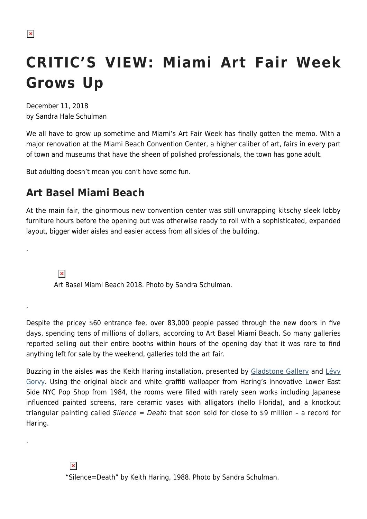# **CRITIC'S VIEW: Miami Art Fair Week Grows Up**

December 11, 2018 by Sandra Hale Schulman

We all have to grow up sometime and Miami's Art Fair Week has finally gotten the memo. With a major renovation at the Miami Beach Convention Center, a higher caliber of art, fairs in every part of town and museums that have the sheen of polished professionals, the town has gone adult.

But adulting doesn't mean you can't have some fun.

## **Art Basel Miami Beach**

At the main fair, the ginormous new convention center was still unwrapping kitschy sleek lobby furniture hours before the opening but was otherwise ready to roll with a sophisticated, expanded layout, bigger wider aisles and easier access from all sides of the building.

 $\pmb{\times}$ 

.

.

.

Art Basel Miami Beach 2018. Photo by Sandra Schulman.

Despite the pricey \$60 entrance fee, over 83,000 people passed through the new doors in five days, spending tens of millions of dollars, according to Art Basel Miami Beach. So many galleries reported selling out their entire booths within hours of the opening day that it was rare to find anything left for sale by the weekend, galleries told the art fair.

Buzzing in the aisles was the Keith Haring installation, presented by [Gladstone Gallery](https://gladstonegallery.com/) and [Lévy](https://www.levygorvy.com/) [Gorvy.](https://www.levygorvy.com/) Using the original black and white graffiti wallpaper from Haring's innovative Lower East Side NYC Pop Shop from 1984, the rooms were filled with rarely seen works including Japanese influenced painted screens, rare ceramic vases with alligators (hello Florida), and a knockout triangular painting called Silence = Death that soon sold for close to \$9 million – a record for Haring.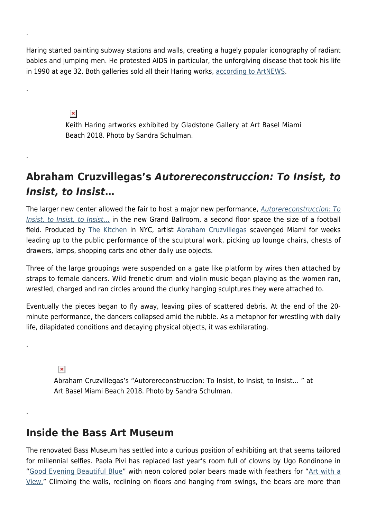Haring started painting subway stations and walls, creating a hugely popular iconography of radiant babies and jumping men. He protested AIDS in particular, the unforgiving disease that took his life in 1990 at age 32. Both galleries sold all their Haring works, [according to ArtNEWS](http://www.artnews.com/2018/12/05/art-basel-miami-beach-opens-robust-sales-keith-haring-doubleheader-16-5-m-basquiat-offer/).

 $\pmb{\times}$ 

.

.

.

.

.

Keith Haring artworks exhibited by Gladstone Gallery at Art Basel Miami Beach 2018. Photo by Sandra Schulman.

## **Abraham Cruzvillegas's** *Autorereconstruccion: To Insist, to Insist, to Insist***…**

The larger new center allowed the fair to host a major new performance, [Autorereconstruccion: To](https://hamptonsarthub.com/2018/12/07/art-fairs-the-kitchen-and-art-basel-team-up-for-special-performance-by-abraham-cruzvillegas/) [Insist, to Insist, to Insist](https://hamptonsarthub.com/2018/12/07/art-fairs-the-kitchen-and-art-basel-team-up-for-special-performance-by-abraham-cruzvillegas/)[…](https://hamptonsarthub.com/2018/12/07/art-fairs-the-kitchen-and-art-basel-team-up-for-special-performance-by-abraham-cruzvillegas/) in the new Grand Ballroom, a second floor space the size of a football field. Produced by [The Kitchen](https://thekitchen.org/) in NYC, artist [Abraham Cruzvillegas s](https://walkerart.org/calendar/2013/abraham-cruzvillegas-autoconstruccion-suites)cavenged Miami for weeks leading up to the public performance of the sculptural work, picking up lounge chairs, chests of drawers, lamps, shopping carts and other daily use objects.

Three of the large groupings were suspended on a gate like platform by wires then attached by straps to female dancers. Wild frenetic drum and violin music began playing as the women ran, wrestled, charged and ran circles around the clunky hanging sculptures they were attached to.

Eventually the pieces began to fly away, leaving piles of scattered debris. At the end of the 20 minute performance, the dancers collapsed amid the rubble. As a metaphor for wrestling with daily life, dilapidated conditions and decaying physical objects, it was exhilarating.

 $\pmb{\times}$ 

Abraham Cruzvillegas's "Autorereconstruccion: To Insist, to Insist, to Insist… " at Art Basel Miami Beach 2018. Photo by Sandra Schulman.

## **Inside the Bass Art Museum**

The renovated Bass Museum has settled into a curious position of exhibiting art that seems tailored for millennial selfies. Paola Pivi has replaced last year's room full of clowns by Ugo Rondinone in "[Good Evening Beautiful Blue"](https://thebass.org/art/good-evening-beautiful-blue/) with neon colored polar bears made with feathers for "[Art with a](https://thebass.org/art/paola-pivi/) [View."](https://thebass.org/art/paola-pivi/) Climbing the walls, reclining on floors and hanging from swings, the bears are more than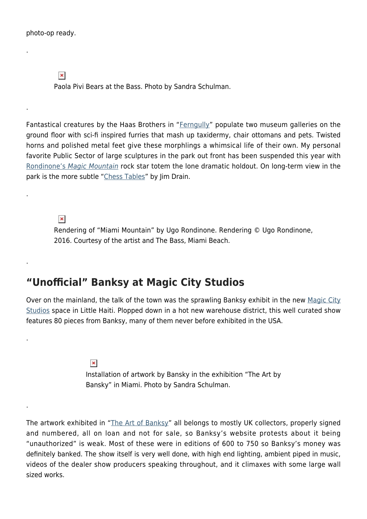.

.

.

.

.

.

 $\pmb{\times}$ 

Paola Pivi Bears at the Bass. Photo by Sandra Schulman.

Fantastical creatures by the Haas Brothers in "[Ferngully](https://thebass.org/art/ferngully/)" populate two museum galleries on the ground floor with sci-fi inspired furries that mash up taxidermy, chair ottomans and pets. Twisted horns and polished metal feet give these morphlings a whimsical life of their own. My personal favorite Public Sector of large sculptures in the park out front has been suspended this year with [Rondinone's](https://thebass.org/art/miami-mountain/) [Magic Mountain](https://thebass.org/art/miami-mountain/) rock star totem the lone dramatic holdout. On long-term view in the park is the more subtle "[Chess Tables](https://thebass.org/art/jim-drain/)" by Jim Drain.

 $\pmb{\times}$ 

Rendering of "Miami Mountain" by Ugo Rondinone. Rendering © Ugo Rondinone, 2016. Courtesy of the artist and The Bass, Miami Beach.

#### **"Unofficial" Banksy at Magic City Studios**

Over on the mainland, the talk of the town was the sprawling Banksy exhibit in the new [Magic City](https://magiccity.studio/) [Studios](https://magiccity.studio/) space in Little Haiti. Plopped down in a hot new warehouse district, this well curated show features 80 pieces from Banksy, many of them never before exhibited in the USA.

> $\pmb{\times}$ Installation of artwork by Bansky in the exhibition "The Art by Bansky" in Miami. Photo by Sandra Schulman.

The artwork exhibited in "[The Art of Banksy](https://www.banksyexhibit.com/)" all belongs to mostly UK collectors, properly signed and numbered, all on loan and not for sale, so Banksy's website protests about it being "unauthorized" is weak. Most of these were in editions of 600 to 750 so Banksy's money was definitely banked. The show itself is very well done, with high end lighting, ambient piped in music, videos of the dealer show producers speaking throughout, and it climaxes with some large wall sized works.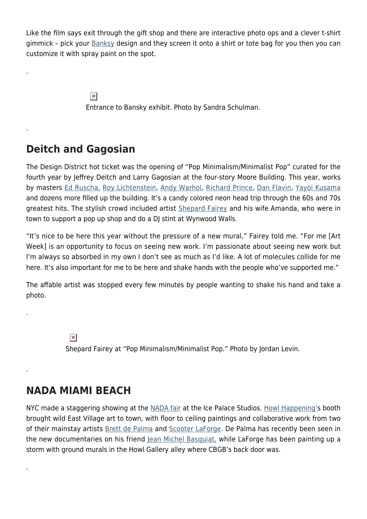Like the film says exit through the gift shop and there are interactive photo ops and a clever t-shirt gimmick - pick your **[Banksy](https://hamptonsarthub.com/2018/03/24/news-art-news-now-banksys-murals-james-joyce-gift-to-the-morgan-national-endowment-of-the-arts-and-humanities-secured-and-more-news/) design and they screen it onto a shirt or tote bag for you then you can** customize it with spray paint on the spot.

 $\pmb{\times}$ 

Entrance to Bansky exhibit. Photo by Sandra Schulman.

## **Deitch and Gagosian**

.

.

.

.

.

The Design District hot ticket was the opening of "Pop Minimalism/Minimalist Pop" curated for the fourth year by Jeffrey Deitch and Larry Gagosian at the four-story Moore Building. This year, works by masters [Ed Ruscha,](https://hamptonsarthub.com/2017/08/14/feartures-cool-school-artists-ed-moses-billy-al-bengston-ed-ruscha-brings-southern-california-to-new-britain-museum-of-american-art/) [Roy Lichtenstein](https://hamptonsarthub.com/2018/06/07/news-whitney-receives-significant-roy-litchenstein-cache/), [Andy Warhol](https://hamptonsarthub.com/2013/06/25/andys-hamptons-warhol-still-summers-here/), [Richard Prince,](https://hamptonsarthub.com/2017/07/31/features-carpets-at-katonah-museum-blur-lines-between-art-design-craft/) [Dan Flavin](https://hamptonsarthub.com/museum/dan-flavin-art-institute-dan-flavin/), [Yayoi Kusama](https://hamptonsarthub.com/2018/04/30/exhibitions-nyc-gallery-scene-highlights-through-may-6-2018/) and dozens more filled up the building. It's a candy colored neon head trip through the 60s and 70s greatest hits. The stylish crowd included artist [Shepard Fairey](https://obeygiant.com/) and his wife Amanda, who were in town to support a pop up shop and do a DJ stint at Wynwood Walls.

"It's nice to be here this year without the pressure of a new mural," Fairey told me. "For me [Art Week] is an opportunity to focus on seeing new work. I'm passionate about seeing new work but I'm always so absorbed in my own I don't see as much as I'd like. A lot of molecules collide for me here. It's also important for me to be here and shake hands with the people who've supported me."

The affable artist was stopped every few minutes by people wanting to shake his hand and take a photo.

 $\pmb{\times}$ 

Shepard Fairey at "Pop Minimalism/Minimalist Pop." Photo by Jordan Levin.

### **NADA MIAMI BEACH**

NYC made a staggering showing at the [NADA fair](https://www.newartdealers.org/fairs/2018/miami) at the Ice Palace Studios. [Howl Happening'](https://hamptonsarthub.com/2017/03/23/events-vega-retrospective-brings-a-vibrant-slate-of-programming/)s booth brought wild East Village art to town, with floor to ceiling paintings and collaborative work from two of their mainstay artists [Brett de Palma](https://brettdepalma.com/home.html) and [Scooter LaForge.](https://patriciafield.com/collections/scooter-laforge-for-patricia-field) De Palma has recently been seen in the new documentaries on his friend [Jean Michel Basquiat,](https://hamptonsarthub.com/2016/09/20/reviews-art-review-basquiat-notebooks-reveal-artist-who-was-a-street-poet-first/) while LaForge has been painting up a storm with ground murals in the Howl Gallery alley where CBGB's back door was.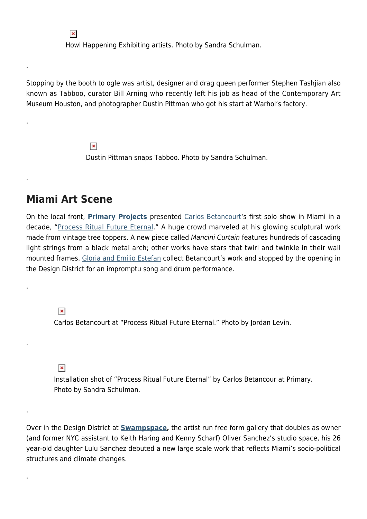Howl Happening Exhibiting artists. Photo by Sandra Schulman.

Stopping by the booth to ogle was artist, designer and drag queen performer Stephen Tashjian also known as Tabboo, curator Bill Arning who recently left his job as head of the Contemporary Art Museum Houston, and photographer Dustin Pittman who got his start at Warhol's factory.

> $\pmb{\times}$ Dustin Pittman snaps Tabboo. Photo by Sandra Schulman.

#### **Miami Art Scene**

 $\pmb{\times}$ 

.

.

.

.

.

.

.

On the local front, **[Primary Projects](https://www.thisisprimary.com/)** presented [Carlos Betancourt'](https://www.carlosbetancourt.com/)s first solo show in Miami in a decade, "[Process Ritual Future Eternal.](https://www.thisisprimary.com/carlos-betancourt-process-ritual-future-eternal/)" A huge crowd marveled at his glowing sculptural work made from vintage tree toppers. A new piece called Mancini Curtain features hundreds of cascading light strings from a black metal arch; other works have stars that twirl and twinkle in their wall mounted frames. [Gloria and Emilio Estefan](http://www.pbs.org/wgbh/latinmusicusa/legends/gloria-emilio-estefan/) collect Betancourt's work and stopped by the opening in the Design District for an impromptu song and drum performance.

 $\pmb{\times}$ Carlos Betancourt at "Process Ritual Future Eternal." Photo by Jordan Levin.

 $\pmb{\times}$ 

Installation shot of "Process Ritual Future Eternal" by Carlos Betancour at Primary. Photo by Sandra Schulman.

Over in the Design District at **[Swampspace,](https://www.miamidesigndistrict.net/listing/281/swampspace/)** the artist run free form gallery that doubles as owner (and former NYC assistant to Keith Haring and Kenny Scharf) Oliver Sanchez's studio space, his 26 year-old daughter Lulu Sanchez debuted a new large scale work that reflects Miami's socio-political structures and climate changes.